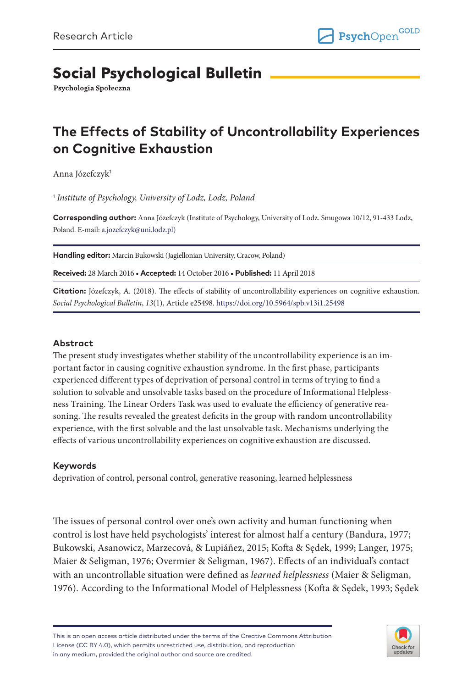# **Social Psychological Bulletin**

Psychologia Społeczna

# **The Effects of Stability of Uncontrollability Experiences on Cognitive Exhaustion**

Anna Józefczyk<sup>1</sup>

1  *Institute of Psychology, University of Lodz, Lodz, Poland*

**Corresponding author:** Anna Józefczyk (Institute of Psychology, University of Lodz. Smugowa 10/12, 91-433 Lodz, Poland. E-mail: [a.jozefczyk@uni.lodz.pl](mailto:a.jozefczyk@uni.lodz.pl))

**Handling editor:** Marcin Bukowski (Jagiellonian University, Cracow, Poland)

**Received:** 28 March 2016 • **Accepted:** 14 October 2016 • **Published:** 11 April 2018

**Citation:** Józefczyk, A. (2018). The effects of stability of uncontrollability experiences on cognitive exhaustion. *Social Psychological Bulletin*, *13*(1), Article e25498.<https://doi.org/10.5964/spb.v13i1.25498>

### **Abstract**

The present study investigates whether stability of the uncontrollability experience is an important factor in causing cognitive exhaustion syndrome. In the first phase, participants experienced different types of deprivation of personal control in terms of trying to find a solution to solvable and unsolvable tasks based on the procedure of Informational Helplessness Training. The Linear Orders Task was used to evaluate the efficiency of generative reasoning. The results revealed the greatest deficits in the group with random uncontrollability experience, with the first solvable and the last unsolvable task. Mechanisms underlying the effects of various uncontrollability experiences on cognitive exhaustion are discussed.

### **Keywords**

deprivation of control, personal control, generative reasoning, learned helplessness

The issues of personal control over one's own activity and human functioning when control is lost have held psychologists' interest for almost half a century (Bandura, 1977; Bukowski, Asanowicz, Marzecová, & Lupiáñez, 2015; Kofta & Sędek, 1999; Langer, 1975; Maier & Seligman, 1976; Overmier & Seligman, 1967). Effects of an individual's contact with an uncontrollable situation were defined as *learned helplessness* (Maier & Seligman, 1976). According to the Informational Model of Helplessness (Kofta & Sędek, 1993; Sędek

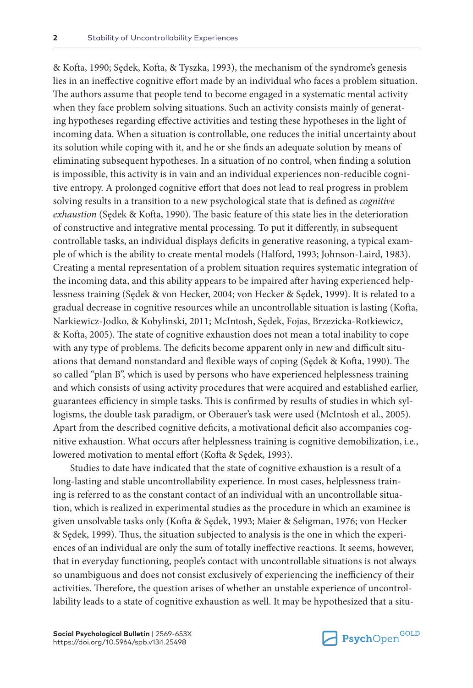& Kofta, 1990; Sędek, Kofta, & Tyszka, 1993), the mechanism of the syndrome's genesis lies in an ineffective cognitive effort made by an individual who faces a problem situation. The authors assume that people tend to become engaged in a systematic mental activity when they face problem solving situations. Such an activity consists mainly of generating hypotheses regarding effective activities and testing these hypotheses in the light of incoming data. When a situation is controllable, one reduces the initial uncertainty about its solution while coping with it, and he or she finds an adequate solution by means of eliminating subsequent hypotheses. In a situation of no control, when finding a solution is impossible, this activity is in vain and an individual experiences non-reducible cognitive entropy. A prolonged cognitive effort that does not lead to real progress in problem solving results in a transition to a new psychological state that is defined as *cognitive exhaustion* (Sędek & Kofta, 1990). The basic feature of this state lies in the deterioration of constructive and integrative mental processing. To put it differently, in subsequent controllable tasks, an individual displays deficits in generative reasoning, a typical example of which is the ability to create mental models (Halford, 1993; Johnson-Laird, 1983). Creating a mental representation of a problem situation requires systematic integration of the incoming data, and this ability appears to be impaired after having experienced helplessness training (Sędek & von Hecker, 2004; von Hecker & Sędek, 1999). It is related to a gradual decrease in cognitive resources while an uncontrollable situation is lasting (Kofta, Narkiewicz-Jodko, & Kobylinski, 2011; McIntosh, Sędek, Fojas, Brzezicka-Rotkiewicz, & Kofta, 2005). The state of cognitive exhaustion does not mean a total inability to cope with any type of problems. The deficits become apparent only in new and difficult situations that demand nonstandard and flexible ways of coping (Sędek & Kofta, 1990). The so called "plan B", which is used by persons who have experienced helplessness training and which consists of using activity procedures that were acquired and established earlier, guarantees efficiency in simple tasks. This is confirmed by results of studies in which syllogisms, the double task paradigm, or Oberauer's task were used (McIntosh et al., 2005). Apart from the described cognitive deficits, a motivational deficit also accompanies cognitive exhaustion. What occurs after helplessness training is cognitive demobilization, i.e., lowered motivation to mental effort (Kofta & Sędek, 1993).

Studies to date have indicated that the state of cognitive exhaustion is a result of a long-lasting and stable uncontrollability experience. In most cases, helplessness training is referred to as the constant contact of an individual with an uncontrollable situation, which is realized in experimental studies as the procedure in which an examinee is given unsolvable tasks only (Kofta & Sędek, 1993; Maier & Seligman, 1976; von Hecker & Sędek, 1999). Thus, the situation subjected to analysis is the one in which the experiences of an individual are only the sum of totally ineffective reactions. It seems, however, that in everyday functioning, people's contact with uncontrollable situations is not always so unambiguous and does not consist exclusively of experiencing the inefficiency of their activities. Therefore, the question arises of whether an unstable experience of uncontrollability leads to a state of cognitive exhaustion as well. It may be hypothesized that a situ-

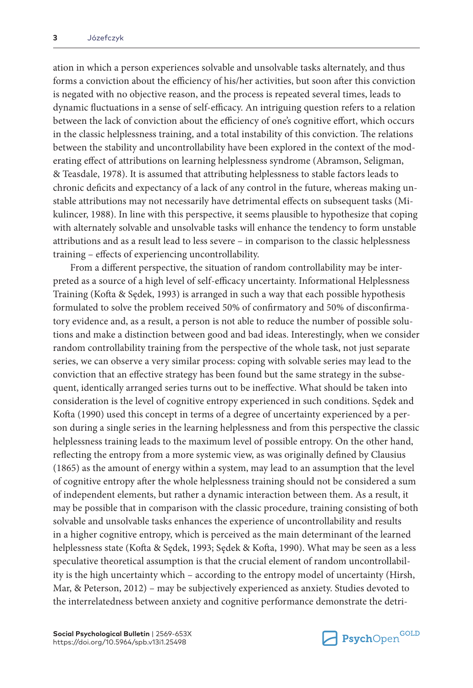ation in which a person experiences solvable and unsolvable tasks alternately, and thus forms a conviction about the efficiency of his/her activities, but soon after this conviction is negated with no objective reason, and the process is repeated several times, leads to dynamic fluctuations in a sense of self-efficacy. An intriguing question refers to a relation between the lack of conviction about the efficiency of one's cognitive effort, which occurs in the classic helplessness training, and a total instability of this conviction. The relations between the stability and uncontrollability have been explored in the context of the moderating effect of attributions on learning helplessness syndrome (Abramson, Seligman, & Teasdale, 1978). It is assumed that attributing helplessness to stable factors leads to chronic deficits and expectancy of a lack of any control in the future, whereas making unstable attributions may not necessarily have detrimental effects on subsequent tasks (Mikulincer, 1988). In line with this perspective, it seems plausible to hypothesize that coping with alternately solvable and unsolvable tasks will enhance the tendency to form unstable attributions and as a result lead to less severe – in comparison to the classic helplessness training – effects of experiencing uncontrollability.

From a different perspective, the situation of random controllability may be interpreted as a source of a high level of self-efficacy uncertainty. Informational Helplessness Training (Kofta & Sędek, 1993) is arranged in such a way that each possible hypothesis formulated to solve the problem received 50% of confirmatory and 50% of disconfirmatory evidence and, as a result, a person is not able to reduce the number of possible solutions and make a distinction between good and bad ideas. Interestingly, when we consider random controllability training from the perspective of the whole task, not just separate series, we can observe a very similar process: coping with solvable series may lead to the conviction that an effective strategy has been found but the same strategy in the subsequent, identically arranged series turns out to be ineffective. What should be taken into consideration is the level of cognitive entropy experienced in such conditions. Sędek and Kofta (1990) used this concept in terms of a degree of uncertainty experienced by a person during a single series in the learning helplessness and from this perspective the classic helplessness training leads to the maximum level of possible entropy. On the other hand, reflecting the entropy from a more systemic view, as was originally defined by Clausius (1865) as the amount of energy within a system, may lead to an assumption that the level of cognitive entropy after the whole helplessness training should not be considered a sum of independent elements, but rather a dynamic interaction between them. As a result, it may be possible that in comparison with the classic procedure, training consisting of both solvable and unsolvable tasks enhances the experience of uncontrollability and results in a higher cognitive entropy, which is perceived as the main determinant of the learned helplessness state (Kofta & Sędek, 1993; Sędek & Kofta, 1990). What may be seen as a less speculative theoretical assumption is that the crucial element of random uncontrollability is the high uncertainty which – according to the entropy model of uncertainty (Hirsh, Mar, & Peterson, 2012) – may be subjectively experienced as anxiety. Studies devoted to the interrelatedness between anxiety and cognitive performance demonstrate the detri-

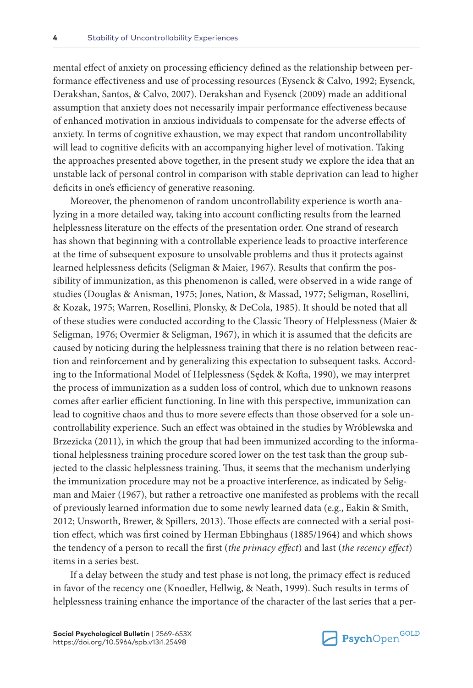mental effect of anxiety on processing efficiency defined as the relationship between performance effectiveness and use of processing resources (Eysenck & Calvo, 1992; Eysenck, Derakshan, Santos, & Calvo, 2007). Derakshan and Eysenck (2009) made an additional assumption that anxiety does not necessarily impair performance effectiveness because of enhanced motivation in anxious individuals to compensate for the adverse effects of anxiety. In terms of cognitive exhaustion, we may expect that random uncontrollability will lead to cognitive deficits with an accompanying higher level of motivation. Taking the approaches presented above together, in the present study we explore the idea that an unstable lack of personal control in comparison with stable deprivation can lead to higher deficits in one's efficiency of generative reasoning.

Moreover, the phenomenon of random uncontrollability experience is worth analyzing in a more detailed way, taking into account conflicting results from the learned helplessness literature on the effects of the presentation order. One strand of research has shown that beginning with a controllable experience leads to proactive interference at the time of subsequent exposure to unsolvable problems and thus it protects against learned helplessness deficits (Seligman & Maier, 1967). Results that confirm the possibility of immunization, as this phenomenon is called, were observed in a wide range of studies (Douglas & Anisman, 1975; Jones, Nation, & Massad, 1977; Seligman, Rosellini, & Kozak, 1975; Warren, Rosellini, Plonsky, & DeCola, 1985). It should be noted that all of these studies were conducted according to the Classic Theory of Helplessness (Maier & Seligman, 1976; Overmier & Seligman, 1967), in which it is assumed that the deficits are caused by noticing during the helplessness training that there is no relation between reaction and reinforcement and by generalizing this expectation to subsequent tasks. According to the Informational Model of Helplessness (Sędek & Kofta, 1990), we may interpret the process of immunization as a sudden loss of control, which due to unknown reasons comes after earlier efficient functioning. In line with this perspective, immunization can lead to cognitive chaos and thus to more severe effects than those observed for a sole uncontrollability experience. Such an effect was obtained in the studies by Wróblewska and Brzezicka (2011), in which the group that had been immunized according to the informational helplessness training procedure scored lower on the test task than the group subjected to the classic helplessness training. Thus, it seems that the mechanism underlying the immunization procedure may not be a proactive interference, as indicated by Seligman and Maier (1967), but rather a retroactive one manifested as problems with the recall of previously learned information due to some newly learned data (e.g., Eakin & Smith, 2012; Unsworth, Brewer, & Spillers, 2013). Those effects are connected with a serial position effect, which was first coined by Herman Ebbinghaus (1885/1964) and which shows the tendency of a person to recall the first (*the primacy effect*) and last (*the recency effect*) items in a series best.

If a delay between the study and test phase is not long, the primacy effect is reduced in favor of the recency one (Knoedler, Hellwig, & Neath, 1999). Such results in terms of helplessness training enhance the importance of the character of the last series that a per-

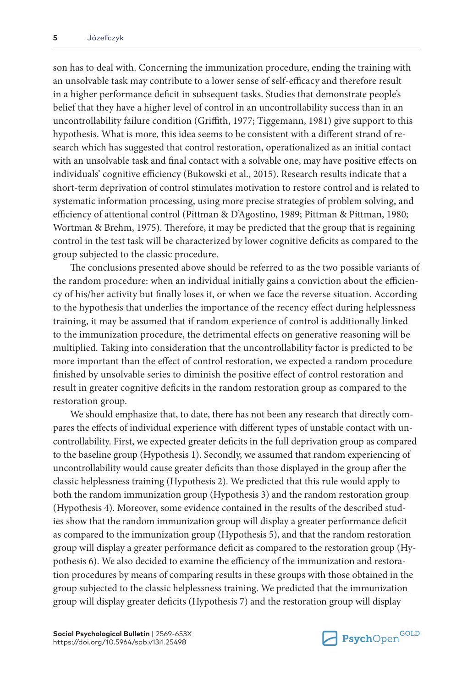son has to deal with. Concerning the immunization procedure, ending the training with an unsolvable task may contribute to a lower sense of self-efficacy and therefore result in a higher performance deficit in subsequent tasks. Studies that demonstrate people's belief that they have a higher level of control in an uncontrollability success than in an uncontrollability failure condition (Griffith, 1977; Tiggemann, 1981) give support to this hypothesis. What is more, this idea seems to be consistent with a different strand of research which has suggested that control restoration, operationalized as an initial contact with an unsolvable task and final contact with a solvable one, may have positive effects on individuals' cognitive efficiency (Bukowski et al., 2015). Research results indicate that a short-term deprivation of control stimulates motivation to restore control and is related to systematic information processing, using more precise strategies of problem solving, and efficiency of attentional control (Pittman & D'Agostino, 1989; Pittman & Pittman, 1980; Wortman & Brehm, 1975). Therefore, it may be predicted that the group that is regaining control in the test task will be characterized by lower cognitive deficits as compared to the group subjected to the classic procedure.

The conclusions presented above should be referred to as the two possible variants of the random procedure: when an individual initially gains a conviction about the efficiency of his/her activity but finally loses it, or when we face the reverse situation. According to the hypothesis that underlies the importance of the recency effect during helplessness training, it may be assumed that if random experience of control is additionally linked to the immunization procedure, the detrimental effects on generative reasoning will be multiplied. Taking into consideration that the uncontrollability factor is predicted to be more important than the effect of control restoration, we expected a random procedure finished by unsolvable series to diminish the positive effect of control restoration and result in greater cognitive deficits in the random restoration group as compared to the restoration group.

We should emphasize that, to date, there has not been any research that directly compares the effects of individual experience with different types of unstable contact with uncontrollability. First, we expected greater deficits in the full deprivation group as compared to the baseline group (Hypothesis 1). Secondly, we assumed that random experiencing of uncontrollability would cause greater deficits than those displayed in the group after the classic helplessness training (Hypothesis 2). We predicted that this rule would apply to both the random immunization group (Hypothesis 3) and the random restoration group (Hypothesis 4). Moreover, some evidence contained in the results of the described studies show that the random immunization group will display a greater performance deficit as compared to the immunization group (Hypothesis 5), and that the random restoration group will display a greater performance deficit as compared to the restoration group (Hypothesis 6). We also decided to examine the efficiency of the immunization and restoration procedures by means of comparing results in these groups with those obtained in the group subjected to the classic helplessness training. We predicted that the immunization group will display greater deficits (Hypothesis 7) and the restoration group will display

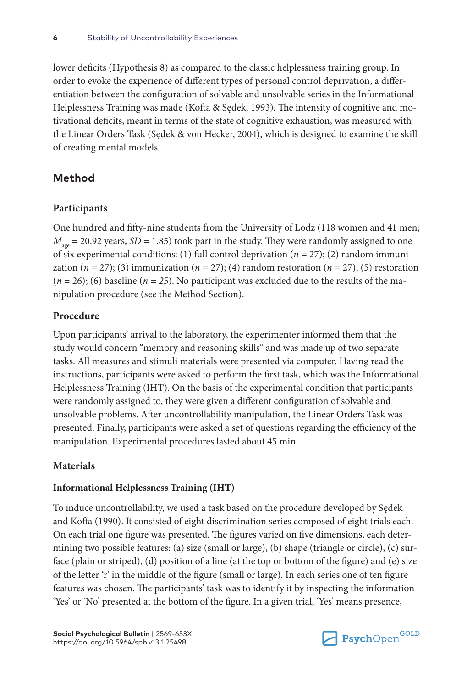lower deficits (Hypothesis 8) as compared to the classic helplessness training group. In order to evoke the experience of different types of personal control deprivation, a differentiation between the configuration of solvable and unsolvable series in the Informational Helplessness Training was made (Kofta & Sędek, 1993). The intensity of cognitive and motivational deficits, meant in terms of the state of cognitive exhaustion, was measured with the Linear Orders Task (Sędek & von Hecker, 2004), which is designed to examine the skill of creating mental models.

# **Method**

### **Participants**

One hundred and fifty-nine students from the University of Lodz (118 women and 41 men;  $M_{\text{age}}$  = 20.92 years, *SD* = 1.85) took part in the study. They were randomly assigned to one of six experimental conditions: (1) full control deprivation (*n* = 27); (2) random immunization ( $n = 27$ ); (3) immunization ( $n = 27$ ); (4) random restoration ( $n = 27$ ); (5) restoration  $(n = 26)$ ; (6) baseline  $(n = 25)$ . No participant was excluded due to the results of the manipulation procedure (see the Method Section).

### **Procedure**

Upon participants' arrival to the laboratory, the experimenter informed them that the study would concern "memory and reasoning skills" and was made up of two separate tasks. All measures and stimuli materials were presented via computer. Having read the instructions, participants were asked to perform the first task, which was the Informational Helplessness Training (IHT). On the basis of the experimental condition that participants were randomly assigned to, they were given a different configuration of solvable and unsolvable problems. After uncontrollability manipulation, the Linear Orders Task was presented. Finally, participants were asked a set of questions regarding the efficiency of the manipulation. Experimental procedures lasted about 45 min.

### **Materials**

### **Informational Helplessness Training (IHT)**

To induce uncontrollability, we used a task based on the procedure developed by Sędek and Kofta (1990). It consisted of eight discrimination series composed of eight trials each. On each trial one figure was presented. The figures varied on five dimensions, each determining two possible features: (a) size (small or large), (b) shape (triangle or circle), (c) surface (plain or striped), (d) position of a line (at the top or bottom of the figure) and (e) size of the letter 'r' in the middle of the figure (small or large). In each series one of ten figure features was chosen. The participants' task was to identify it by inspecting the information 'Yes' or 'No' presented at the bottom of the figure. In a given trial, 'Yes' means presence,

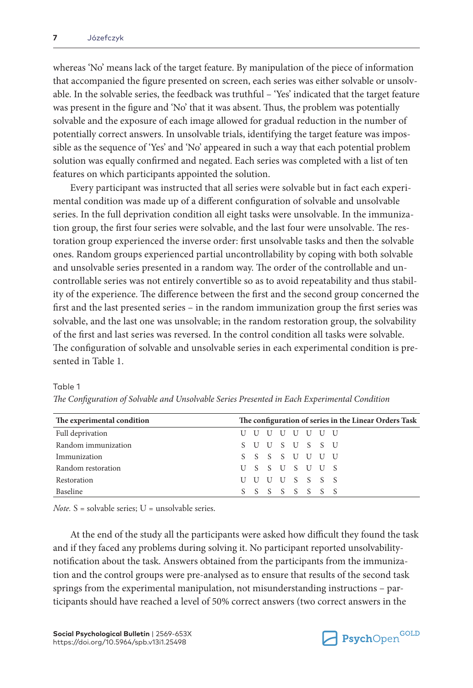whereas 'No' means lack of the target feature. By manipulation of the piece of information that accompanied the figure presented on screen, each series was either solvable or unsolvable. In the solvable series, the feedback was truthful – 'Yes' indicated that the target feature was present in the figure and 'No' that it was absent. Thus, the problem was potentially solvable and the exposure of each image allowed for gradual reduction in the number of potentially correct answers. In unsolvable trials, identifying the target feature was impossible as the sequence of 'Yes' and 'No' appeared in such a way that each potential problem solution was equally confirmed and negated. Each series was completed with a list of ten features on which participants appointed the solution.

Every participant was instructed that all series were solvable but in fact each experimental condition was made up of a different configuration of solvable and unsolvable series. In the full deprivation condition all eight tasks were unsolvable. In the immunization group, the first four series were solvable, and the last four were unsolvable. The restoration group experienced the inverse order: first unsolvable tasks and then the solvable ones. Random groups experienced partial uncontrollability by coping with both solvable and unsolvable series presented in a random way. The order of the controllable and uncontrollable series was not entirely convertible so as to avoid repeatability and thus stability of the experience. The difference between the first and the second group concerned the first and the last presented series – in the random immunization group the first series was solvable, and the last one was unsolvable; in the random restoration group, the solvability of the first and last series was reversed. In the control condition all tasks were solvable. The configuration of solvable and unsolvable series in each experimental condition is presented in Table 1.

| The experimental condition |                 |  |             | The configuration of series in the Linear Orders Task |
|----------------------------|-----------------|--|-------------|-------------------------------------------------------|
| Full deprivation           |                 |  | U U U U U U |                                                       |
| Random immunization        | SUUSUSSU        |  |             |                                                       |
| Immunization               | S S S S U U U U |  |             |                                                       |
| Random restoration         | USSUSUUS        |  |             |                                                       |
| Restoration                | UUUUSSSS        |  |             |                                                       |
| <b>Baseline</b>            |                 |  | SSSSSSS     |                                                       |

*The Configuration of Solvable and Unsolvable Series Presented in Each Experimental Condition*

Table 1

*Note.* S = solvable series; U = unsolvable series.

At the end of the study all the participants were asked how difficult they found the task and if they faced any problems during solving it. No participant reported unsolvabilitynotification about the task. Answers obtained from the participants from the immunization and the control groups were pre-analysed as to ensure that results of the second task springs from the experimental manipulation, not misunderstanding instructions – participants should have reached a level of 50% correct answers (two correct answers in the

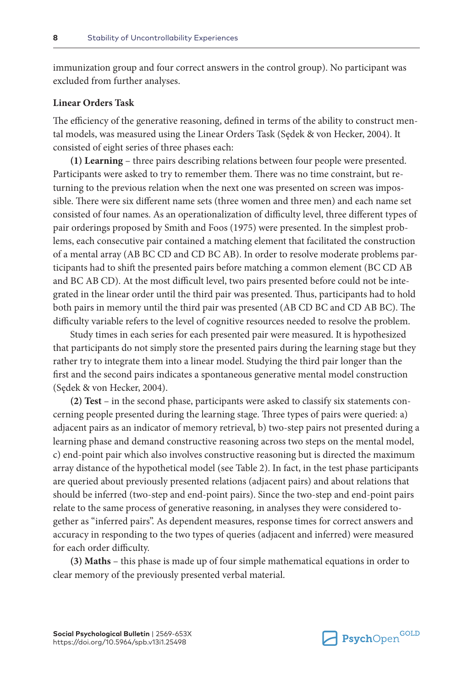immunization group and four correct answers in the control group). No participant was excluded from further analyses.

### **Linear Orders Task**

The efficiency of the generative reasoning, defined in terms of the ability to construct mental models, was measured using the Linear Orders Task (Sędek & von Hecker, 2004). It consisted of eight series of three phases each:

**(1) Learning** – three pairs describing relations between four people were presented. Participants were asked to try to remember them. There was no time constraint, but returning to the previous relation when the next one was presented on screen was impossible. There were six different name sets (three women and three men) and each name set consisted of four names. As an operationalization of difficulty level, three different types of pair orderings proposed by Smith and Foos (1975) were presented. In the simplest problems, each consecutive pair contained a matching element that facilitated the construction of a mental array (AB BC CD and CD BC AB). In order to resolve moderate problems participants had to shift the presented pairs before matching a common element (BC CD AB and BC AB CD). At the most difficult level, two pairs presented before could not be integrated in the linear order until the third pair was presented. Thus, participants had to hold both pairs in memory until the third pair was presented (AB CD BC and CD AB BC). The difficulty variable refers to the level of cognitive resources needed to resolve the problem.

Study times in each series for each presented pair were measured. It is hypothesized that participants do not simply store the presented pairs during the learning stage but they rather try to integrate them into a linear model. Studying the third pair longer than the first and the second pairs indicates a spontaneous generative mental model construction (Sędek & von Hecker, 2004).

**(2) Test** – in the second phase, participants were asked to classify six statements concerning people presented during the learning stage. Three types of pairs were queried: a) adjacent pairs as an indicator of memory retrieval, b) two-step pairs not presented during a learning phase and demand constructive reasoning across two steps on the mental model, c) end-point pair which also involves constructive reasoning but is directed the maximum array distance of the hypothetical model (see Table 2). In fact, in the test phase participants are queried about previously presented relations (adjacent pairs) and about relations that should be inferred (two-step and end-point pairs). Since the two-step and end-point pairs relate to the same process of generative reasoning, in analyses they were considered together as "inferred pairs". As dependent measures, response times for correct answers and accuracy in responding to the two types of queries (adjacent and inferred) were measured for each order difficulty.

**(3) Maths** – this phase is made up of four simple mathematical equations in order to clear memory of the previously presented verbal material.

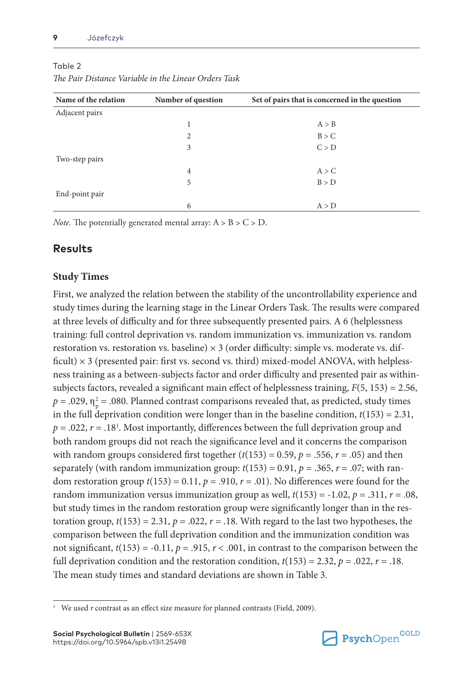| Name of the relation | Number of question | Set of pairs that is concerned in the question |
|----------------------|--------------------|------------------------------------------------|
| Adjacent pairs       |                    |                                                |
|                      |                    | A > B                                          |
|                      | 2                  | B > C                                          |
|                      | 3                  | C > D                                          |
| Two-step pairs       |                    |                                                |
|                      | $\overline{4}$     | A > C                                          |
|                      | 5                  | B > D                                          |
| End-point pair       |                    |                                                |
|                      | 6                  | A > D                                          |

### Table 2

*The Pair Distance Variable in the Linear Orders Task*

*Note.* The potentially generated mental array:  $A > B > C > D$ .

# **Results**

# **Study Times**

First, we analyzed the relation between the stability of the uncontrollability experience and study times during the learning stage in the Linear Orders Task. The results were compared at three levels of difficulty and for three subsequently presented pairs. A 6 (helplessness training: full control deprivation vs. random immunization vs. immunization vs. random restoration vs. restoration vs. baseline)  $\times$  3 (order difficulty: simple vs. moderate vs. difficult)  $\times$  3 (presented pair: first vs. second vs. third) mixed-model ANOVA, with helplessness training as a between-subjects factor and order difficulty and presented pair as withinsubjects factors, revealed a significant main effect of helplessness training,  $F(5, 153) = 2.56$ ,  $p = .029$ ,  $\eta_{\rm p}^2 = .080$ . Planned contrast comparisons revealed that, as predicted, study times in the full deprivation condition were longer than in the baseline condition,  $t(153) = 2.31$ ,  $p = .022$ ,  $r = .18<sup>1</sup>$ . Most importantly, differences between the full deprivation group and both random groups did not reach the significance level and it concerns the comparison with random groups considered first together  $(t(153) = 0.59, p = .556, r = .05)$  and then separately (with random immunization group:  $t(153) = 0.91$ ,  $p = .365$ ,  $r = .07$ ; with random restoration group  $t(153) = 0.11$ ,  $p = .910$ ,  $r = .01$ ). No differences were found for the random immunization versus immunization group as well,  $t(153) = -1.02$ ,  $p = .311$ ,  $r = .08$ , but study times in the random restoration group were significantly longer than in the restoration group,  $t(153) = 2.31$ ,  $p = .022$ ,  $r = .18$ . With regard to the last two hypotheses, the comparison between the full deprivation condition and the immunization condition was not significant,  $t(153) = -0.11$ ,  $p = .915$ ,  $r < .001$ , in contrast to the comparison between the full deprivation condition and the restoration condition,  $t(153) = 2.32$ ,  $p = .022$ ,  $r = .18$ . The mean study times and standard deviations are shown in Table 3.



<sup>&</sup>lt;sup>1</sup> We used *r* contrast as an effect size measure for planned contrasts (Field, 2009).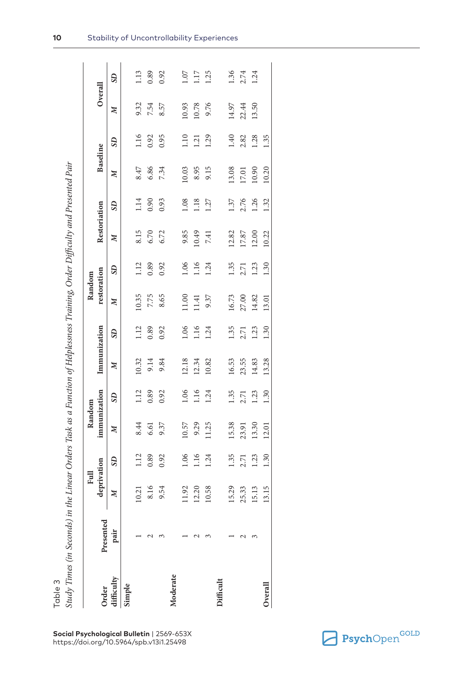|                | <b>. וישו</b>                                                                                       |
|----------------|-----------------------------------------------------------------------------------------------------|
|                | š.<br>֧֧֧֧֧֧֧֪֪֧֧֧֧֪֧֧֧֧֧֚֚֚֚֚֚֚֚֚֚֚֚֚֚֚֚֚֚֚֚֚֚֚֚֚֚֚֚֚֚֚֡֝֟֓֝֬֝֟֓֝֬֝֬֝֬֝֝֬֝֬֝֬֝֬֝֬֝֬֝֬֝֬֝֬֝֬֝֬֝֬֝֬֝ |
|                |                                                                                                     |
|                |                                                                                                     |
|                |                                                                                                     |
|                |                                                                                                     |
|                |                                                                                                     |
|                |                                                                                                     |
|                |                                                                                                     |
|                |                                                                                                     |
|                |                                                                                                     |
|                |                                                                                                     |
|                |                                                                                                     |
|                | Ì                                                                                                   |
|                |                                                                                                     |
|                |                                                                                                     |
|                |                                                                                                     |
|                |                                                                                                     |
|                |                                                                                                     |
|                |                                                                                                     |
|                |                                                                                                     |
|                |                                                                                                     |
|                |                                                                                                     |
|                | $\frac{1}{2}$                                                                                       |
|                |                                                                                                     |
|                |                                                                                                     |
|                |                                                                                                     |
|                |                                                                                                     |
|                |                                                                                                     |
|                |                                                                                                     |
|                |                                                                                                     |
|                |                                                                                                     |
|                | ļ                                                                                                   |
|                |                                                                                                     |
|                |                                                                                                     |
|                |                                                                                                     |
|                |                                                                                                     |
|                |                                                                                                     |
|                |                                                                                                     |
|                | I                                                                                                   |
|                |                                                                                                     |
|                |                                                                                                     |
|                |                                                                                                     |
|                |                                                                                                     |
|                | ¢                                                                                                   |
|                |                                                                                                     |
|                |                                                                                                     |
|                |                                                                                                     |
|                |                                                                                                     |
|                | j                                                                                                   |
|                |                                                                                                     |
|                |                                                                                                     |
|                |                                                                                                     |
|                |                                                                                                     |
|                |                                                                                                     |
|                |                                                                                                     |
|                |                                                                                                     |
|                |                                                                                                     |
|                |                                                                                                     |
|                |                                                                                                     |
|                |                                                                                                     |
|                | ţ                                                                                                   |
|                |                                                                                                     |
|                |                                                                                                     |
|                | ' limes (                                                                                           |
|                |                                                                                                     |
|                | $\ddot{F}$                                                                                          |
|                |                                                                                                     |
| $\overline{0}$ |                                                                                                     |
|                |                                                                                                     |

|           |           | Full                      |              | Random       |              |              |              | Random      |                |              |              |                 |                |         |          |
|-----------|-----------|---------------------------|--------------|--------------|--------------|--------------|--------------|-------------|----------------|--------------|--------------|-----------------|----------------|---------|----------|
|           | Presented | deprivation               |              | immunization |              | Immunization |              | restoration |                | Restoriation |              | <b>Baseline</b> |                | Overall |          |
| ifficulty | pair      | $\boldsymbol{\mathsf{M}}$ | $\mathbf{S}$ | z            | $\mathbf{S}$ | z            | $\mathbf{S}$ | z           | S <sub>D</sub> | z            | $\mathbf{S}$ | z               | S <sub>D</sub> | z       | $\Omega$ |
| imple     |           |                           |              |              |              |              |              |             |                |              |              |                 |                |         |          |
|           |           | 10.21                     | 1.12         | 8.44         | 1.12         | 10.32        | 1.12         | 10.35       | 1.12           | 8.15         | 1.14         | 8.47            | 1.16           | 9.32    | 1.13     |
|           |           | 8.16                      | 0.89         | 6.61         | 0.89         | 9.14         | 0.89         | 7.75        | 0.89           | 6.70         | 0.90         | 6.86            | 0.92           | 7.54    | 0.89     |
|           |           | 9.54                      | 0.92         | 9.37         | 0.92         | 9.84         | 0.92         | 8.65        | 0.92           | 6.72         | 0.93         | 7.34            | 0.95           | 8.57    | 0.92     |
| Moderate  |           |                           |              |              |              |              |              |             |                |              |              |                 |                |         |          |
|           |           | 11.92                     | 1.06         | 10.57        | 1.06         | 12.18        | 1.06         | 11.00       | 1.06           | 9.85         | 1.08         | 10.03           | 1.10           | 10.93   | 1.07     |
|           |           | 12.20                     | 1.16         | 9.29         | 1.16         | 12.34        | 1.16         | 11.41       | 1.16           | 10.49        | 1.18         | 8.95            | 1.21           | 10.78   | 1.17     |
|           |           | 10.58                     | 1.24         | 11.25        | 1.24         | 10.82        | 1.24         | 9.37        | 1.24           | 7.41         | 1.27         | 9.15            | 1.29           | 9.76    | 1.25     |
|           |           |                           |              |              |              |              |              |             |                |              |              |                 |                |         |          |
|           |           | 15.29                     | 1.35         | 15.38        | 1.35         | 16.53        | 1.35         | 16.73       | 1.35           | 12.82        | 1.37         | 13.08           | 1.40           | 14.97   | 1.36     |
|           | N         | 25.33                     | 2.71         | 23.91        | 2.71         | 23.55        | 2.71         | 27.00       | 2.71           | 17.87        | 2.76         | 17.01           | 2.82           | 22.44   | 2.74     |
|           | ↶         | 15.13                     | 1.23         | 13.30        | 1.23         | 14.83        | 1.23         | 14.82       | 1.23           | 12.00        | 1.26         | 10.90           | 1.28           | 13.50   | 1.24     |
| Jveral    |           | 13.15                     | 1.30         | 12.01        | 1.30         | 13.28        | 1.30         | 13.01       | 1.30           | 10.22        | 1.32         | 10.20           | 1.35           |         |          |

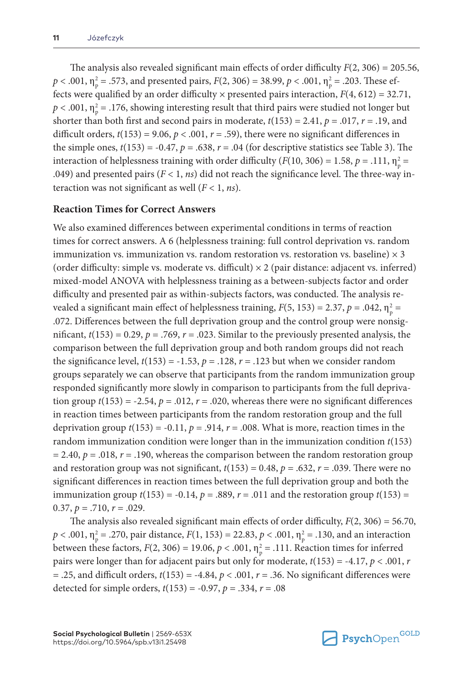The analysis also revealed significant main effects of order difficulty *F*(2, 306) = 205.56,  $p < .001$ ,  $\eta_{\rm p}^2 = .573$ , and presented pairs,  $F(2, 306) = 38.99$ ,  $p < .001$ ,  $\eta_{\rm p}^2 = .203$ . These effects were qualified by an order difficulty  $\times$  presented pairs interaction,  $F(4, 612) = 32.71$ ,  $p < .001$ ,  $\eta_{\rm p}^2 = .176$ , showing interesting result that third pairs were studied not longer but shorter than both first and second pairs in moderate,  $t(153) = 2.41$ ,  $p = .017$ ,  $r = .19$ , and difficult orders,  $t(153) = 9.06$ ,  $p < .001$ ,  $r = .59$ ), there were no significant differences in the simple ones,  $t(153) = -0.47$ ,  $p = .638$ ,  $r = .04$  (for descriptive statistics see Table 3). The interaction of helplessness training with order difficulty ( $F(10, 306) = 1.58$ ,  $p = .111$ ,  $\eta_p^2 =$ .049) and presented pairs  $(F < 1, ns)$  did not reach the significance level. The three-way interaction was not significant as well (*F* < 1, *ns*).

## **Reaction Times for Correct Answers**

We also examined differences between experimental conditions in terms of reaction times for correct answers. A 6 (helplessness training: full control deprivation vs. random immunization vs. immunization vs. random restoration vs. restoration vs. baseline)  $\times$  3 (order difficulty: simple vs. moderate vs. difficult)  $\times$  2 (pair distance: adjacent vs. inferred) mixed-model ANOVA with helplessness training as a between-subjects factor and order difficulty and presented pair as within-subjects factors, was conducted. The analysis revealed a significant main effect of helplessness training,  $F(5, 153) = 2.37$ ,  $p = .042$ ,  $\eta_p^2 =$ .072. Differences between the full deprivation group and the control group were nonsignificant,  $t(153) = 0.29$ ,  $p = .769$ ,  $r = .023$ . Similar to the previously presented analysis, the comparison between the full deprivation group and both random groups did not reach the significance level,  $t(153) = -1.53$ ,  $p = .128$ ,  $r = .123$  but when we consider random groups separately we can observe that participants from the random immunization group responded significantly more slowly in comparison to participants from the full deprivation group  $t(153) = -2.54$ ,  $p = .012$ ,  $r = .020$ , whereas there were no significant differences in reaction times between participants from the random restoration group and the full deprivation group  $t(153) = -0.11$ ,  $p = .914$ ,  $r = .008$ . What is more, reaction times in the random immunization condition were longer than in the immunization condition *t*(153)  $= 2.40, p = .018, r = .190$ , whereas the comparison between the random restoration group and restoration group was not significant,  $t(153) = 0.48$ ,  $p = .632$ ,  $r = .039$ . There were no significant differences in reaction times between the full deprivation group and both the immunization group  $t(153) = -0.14$ ,  $p = .889$ ,  $r = .011$  and the restoration group  $t(153) =$ 0.37,  $p = .710$ ,  $r = .029$ .

The analysis also revealed significant main effects of order difficulty, *F*(2, 306) = 56.70,  $p < .001$ ,  $\eta_{\rm p}^2 = .270$ , pair distance,  $F(1, 153) = 22.83$ ,  $p < .001$ ,  $\eta_{\rm p}^2 = .130$ , and an interaction between these factors,  $F(2, 306) = 19.06$ ,  $p < .001$ ,  $\eta_p^2 = .111$ . Reaction times for inferred pairs were longer than for adjacent pairs but only for moderate, *t*(153) = -4.17, *p* < .001, *r*  $=$  .25, and difficult orders,  $t(153) = -4.84$ ,  $p < .001$ ,  $r = .36$ . No significant differences were detected for simple orders, *t*(153) = -0.97, *p* = .334, *r* = .08

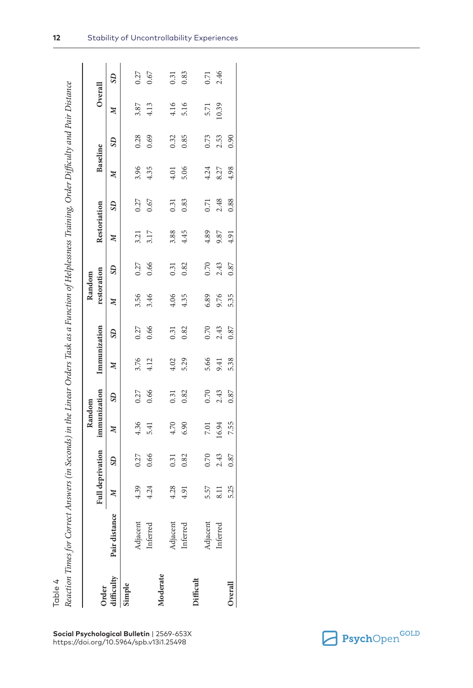|            |               |                  |      | Random       |                |              |              | Random       |          |                  |              |              |              |                  |              |
|------------|---------------|------------------|------|--------------|----------------|--------------|--------------|--------------|----------|------------------|--------------|--------------|--------------|------------------|--------------|
| Order      |               | Full deprivation |      | immunization |                | Immunization |              | restoration  |          | Restoriation     |              | Baseline     |              |                  | Overall      |
| difficulty | Pair distance | $\mathbb{Z}$     | SD   | $\mathbb{Z}$ | S <sub>D</sub> | $\mathbb{N}$ | $\mathbf{S}$ | $\mathbb{N}$ | $\Omega$ | $\boldsymbol{M}$ | $\mathbf{S}$ | $\mathbb{N}$ | $\mathbf{S}$ | $\boldsymbol{M}$ | $\mathbf{S}$ |
| imple      |               |                  |      |              |                |              |              |              |          |                  |              |              |              |                  |              |
|            | Adjacent      | 4.39             | 0.27 | 4.36         | 0.27           | 3.76         | 0.27         | 3.56         | 0.27     | 3.21             | 0.27         | 3.96         | 0.28         | 3.87             | 0.27         |
|            | Inferred      | 4.24             | 0.66 | 5.41         | 0.66           | 4.12         | 0.66         | 3.46         | 0.66     | 3.17             | 0.67         | 4.35         | 0.69         | 4.13             | 0.67         |
| Moderate   |               |                  |      |              |                |              |              |              |          |                  |              |              |              |                  |              |
|            | Adjacent      | 4.28             | 0.31 | 4.70         | 0.31           | 4.02         | 0.31         | 4.06         | 0.31     | 3.88             | 0.31         | 4.01         | 0.32         | 4.16             | 0.31         |
|            | Inferrec      | 4.91             | 0.82 | 6.90         | 0.82           | 5.29         | 0.82         | 4.35         | 0.82     | 4.45             | 0.83         | 5.06         | 0.85         | 5.16             | 0.83         |
| difficult  |               |                  |      |              |                |              |              |              |          |                  |              |              |              |                  |              |
|            | Majacent      | 5.57             | 0.70 | <b>7.01</b>  | 0.70           | 5.66         | 0.70         | 6.89         | 0.70     | 4.89             | 0.71         | 4.24         | 0.73         | 5.71             | 0.71         |
|            | Inferred      | $\frac{1}{3}$    | 2.43 | 16.94        | 2.43           | 9.41         | 2.43         | 9.76         | 2.43     | 9.87             | 2.48         | 8.27         | 2.53         | 10.39            | 2.46         |
| Overall    |               | 5.25             | 0.87 | 7.55         | 0.87           | 5.38         | 0.87         | 5.35         | 0.87     | 4.91             | 0.88         | 4.98         | 0.90         |                  |              |

**Social Psychological Bulletin** | 2569-653X

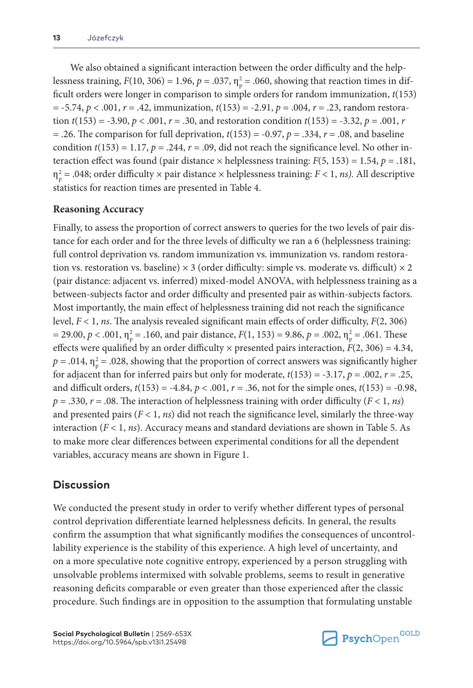We also obtained a significant interaction between the order difficulty and the helplessness training,  $F(10, 306) = 1.96$ ,  $p = .037$ ,  $\eta_p^2 = .060$ , showing that reaction times in difficult orders were longer in comparison to simple orders for random immunization, *t*(153) = -5.74, *p* < .001, *r* = .42, immunization, *t*(153) = -2.91, *p* = .004, *r* = .23, random restoration  $t(153) = -3.90$ ,  $p < .001$ ,  $r = .30$ , and restoration condition  $t(153) = -3.32$ ,  $p = .001$ ,  $r = .001$  $=$  .26. The comparison for full deprivation,  $t(153) = -0.97$ ,  $p = .334$ ,  $r = .08$ , and baseline condition  $t(153) = 1.17$ ,  $p = .244$ ,  $r = .09$ , did not reach the significance level. No other interaction effect was found (pair distance  $\times$  helplessness training:  $F(5, 153) = 1.54$ ,  $p = .181$ ,  $\eta_{\rm p}^2$  = .048; order difficulty  $\times$  pair distance  $\times$  helplessness training: *F* < 1, *ns*). All descriptive statistics for reaction times are presented in Table 4.

### **Reasoning Accuracy**

Finally, to assess the proportion of correct answers to queries for the two levels of pair distance for each order and for the three levels of difficulty we ran a 6 (helplessness training: full control deprivation vs. random immunization vs. immunization vs. random restoration vs. restoration vs. baseline)  $\times$  3 (order difficulty: simple vs. moderate vs. difficult)  $\times$  2 (pair distance: adjacent vs. inferred) mixed-model ANOVA, with helplessness training as a between-subjects factor and order difficulty and presented pair as within-subjects factors. Most importantly, the main effect of helplessness training did not reach the significance level, *F* < 1, *ns*. The analysis revealed significant main effects of order difficulty, *F*(2, 306) = 29.00,  $p < .001$ ,  $\eta_p^2 = .160$ , and pair distance,  $F(1, 153) = 9.86$ ,  $p = .002$ ,  $\eta_p^2 = .061$ . These effects were qualified by an order difficulty  $\times$  presented pairs interaction,  $F(2, 306) = 4.34$ ,  $p = .014$ ,  $\eta_{\rm p}^2 = .028$ , showing that the proportion of correct answers was significantly higher for adjacent than for inferred pairs but only for moderate,  $t(153) = -3.17$ ,  $p = .002$ ,  $r = .25$ , and difficult orders,  $t(153) = -4.84$ ,  $p < .001$ ,  $r = .36$ , not for the simple ones,  $t(153) = -0.98$ , *p* = .330, *r* = .08. The interaction of helplessness training with order difficulty (*F* < 1, *ns*) and presented pairs  $(F < 1, n_s)$  did not reach the significance level, similarly the three-way interaction (*F* < 1, *ns*). Accuracy means and standard deviations are shown in Table 5. As to make more clear differences between experimental conditions for all the dependent variables, accuracy means are shown in Figure 1.

# **Discussion**

We conducted the present study in order to verify whether different types of personal control deprivation differentiate learned helplessness deficits. In general, the results confirm the assumption that what significantly modifies the consequences of uncontrollability experience is the stability of this experience. A high level of uncertainty, and on a more speculative note cognitive entropy, experienced by a person struggling with unsolvable problems intermixed with solvable problems, seems to result in generative reasoning deficits comparable or even greater than those experienced after the classic procedure. Such findings are in opposition to the assumption that formulating unstable

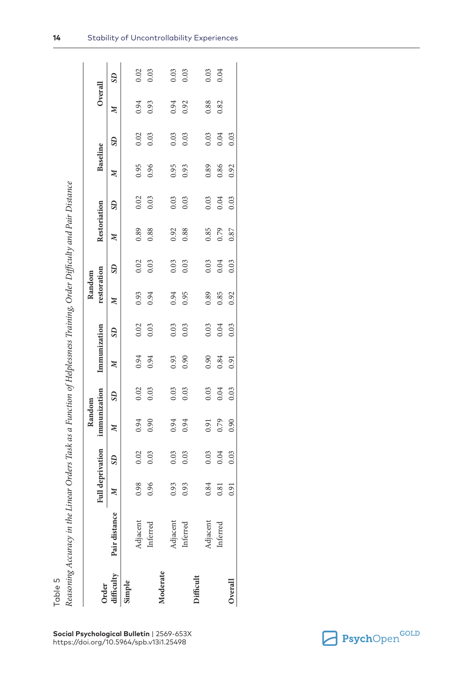|  |  | ł |
|--|--|---|
|  |  |   |
|  |  |   |
|  |  |   |
|  |  |   |
|  |  |   |
|  |  |   |
|  |  |   |

|            |               |                  |                | Random       |              |              |              | Random       |              |              |                |              |              |              |      |
|------------|---------------|------------------|----------------|--------------|--------------|--------------|--------------|--------------|--------------|--------------|----------------|--------------|--------------|--------------|------|
| Order      |               | Full deprivation |                | immunization |              | Immunization |              | restoration  |              | Restoriation |                | Baseline     |              | Overall      |      |
| difficulty | Pair distance | $\mathbb{Z}$     | S <sub>D</sub> | $\mathbb{Z}$ | $\mathbf{S}$ | $\mathbb{Z}$ | $\mathbf{S}$ | $\mathbb{N}$ | $\mathbf{S}$ | $\mathbb{N}$ | S <sub>D</sub> | $\mathbb{Z}$ | $\mathbf{S}$ | $\mathbb{Z}$ | SD   |
| simple     |               |                  |                |              |              |              |              |              |              |              |                |              |              |              |      |
|            | Adjacent      | 0.98             | 0.02           | 0.94         | 0.02         | 0.94         | 0.02         | 0.93         | 0.02         | 0.89         | 0.02           | 0.95         | 0.02         | 0.94         | 0.02 |
|            | Inferred      | 0.96             | 0.03           | 0.90         | 0.03         | 0.94         | 0.03         | 0.94         | 0.03         | 0.88         | 0.03           | 0.96         | 0.03         | 0.93         | 0.03 |
| Moderate   |               |                  |                |              |              |              |              |              |              |              |                |              |              |              |      |
|            | Adjacent      | 0.93             | 0.03           | 0.94         | 0.03         | 0.93         | 0.03         | 0.94         | 0.03         | 0.92         | 0.03           | 0.95         | 0.03         | 0.94         | 0.03 |
|            | inferred      | 0.93             | 0.03           | 0.94         | 0.03         | 0.90         | 0.03         | 0.95         | 0.03         | 0.88         | 0.03           | 0.93         | 0.03         | 0.92         | 0.03 |
| difficult  |               |                  |                |              |              |              |              |              |              |              |                |              |              |              |      |
|            | Adjacent      | 0.84             | 0.03           | 0.91         | 0.03         | 0.90         | 0.03         | 0.89         | 0.03         | 0.85         | 0.03           | 0.89         | 0.03         | 0.88         |      |
|            | Inferred      | 0.81             | 0.04           | 0.79         | 0.04         | 0.84         | 0.04         | 0.85         | 0.04         | 0.79         | 0.04           | 0.86         | 0.04         | 0.82         | 0.04 |
| Overall    |               | 0.91             | 0.03           | 0.90         | 0.03         | 0.91         | 0.03         | 0.92         | 0.03         | 0.87         | 0.03           | 0.92         | 0.03         |              |      |

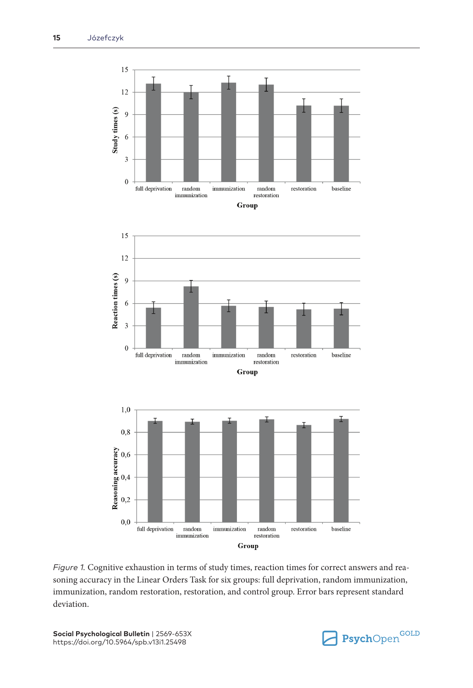

*Figure 1.* Cognitive exhaustion in terms of study times, reaction times for correct answers and reasoning accuracy in the Linear Orders Task for six groups: full deprivation, random immunization, immunization, random restoration, restoration, and control group. Error bars represent standard deviation.

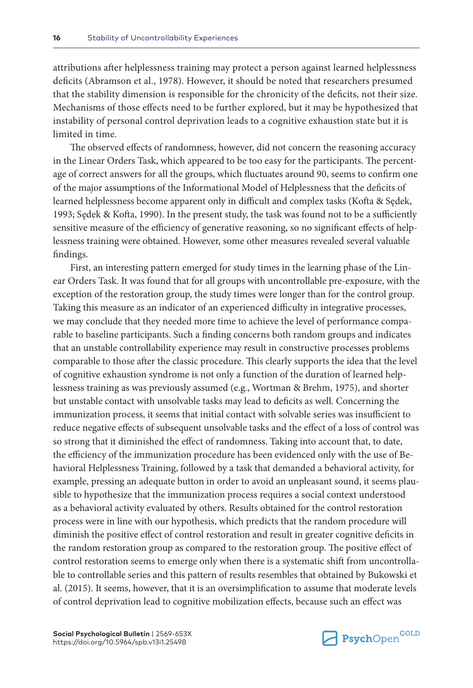attributions after helplessness training may protect a person against learned helplessness deficits (Abramson et al., 1978). However, it should be noted that researchers presumed that the stability dimension is responsible for the chronicity of the deficits, not their size. Mechanisms of those effects need to be further explored, but it may be hypothesized that instability of personal control deprivation leads to a cognitive exhaustion state but it is limited in time.

The observed effects of randomness, however, did not concern the reasoning accuracy in the Linear Orders Task, which appeared to be too easy for the participants. The percentage of correct answers for all the groups, which fluctuates around 90, seems to confirm one of the major assumptions of the Informational Model of Helplessness that the deficits of learned helplessness become apparent only in difficult and complex tasks (Kofta & Sędek, 1993; Sędek & Kofta, 1990). In the present study, the task was found not to be a sufficiently sensitive measure of the efficiency of generative reasoning, so no significant effects of helplessness training were obtained. However, some other measures revealed several valuable findings.

First, an interesting pattern emerged for study times in the learning phase of the Linear Orders Task. It was found that for all groups with uncontrollable pre-exposure, with the exception of the restoration group, the study times were longer than for the control group. Taking this measure as an indicator of an experienced difficulty in integrative processes, we may conclude that they needed more time to achieve the level of performance comparable to baseline participants. Such a finding concerns both random groups and indicates that an unstable controllability experience may result in constructive processes problems comparable to those after the classic procedure. This clearly supports the idea that the level of cognitive exhaustion syndrome is not only a function of the duration of learned helplessness training as was previously assumed (e.g., Wortman & Brehm, 1975), and shorter but unstable contact with unsolvable tasks may lead to deficits as well. Concerning the immunization process, it seems that initial contact with solvable series was insufficient to reduce negative effects of subsequent unsolvable tasks and the effect of a loss of control was so strong that it diminished the effect of randomness. Taking into account that, to date, the efficiency of the immunization procedure has been evidenced only with the use of Behavioral Helplessness Training, followed by a task that demanded a behavioral activity, for example, pressing an adequate button in order to avoid an unpleasant sound, it seems plausible to hypothesize that the immunization process requires a social context understood as a behavioral activity evaluated by others. Results obtained for the control restoration process were in line with our hypothesis, which predicts that the random procedure will diminish the positive effect of control restoration and result in greater cognitive deficits in the random restoration group as compared to the restoration group. The positive effect of control restoration seems to emerge only when there is a systematic shift from uncontrollable to controllable series and this pattern of results resembles that obtained by Bukowski et al. (2015). It seems, however, that it is an oversimplification to assume that moderate levels of control deprivation lead to cognitive mobilization effects, because such an effect was

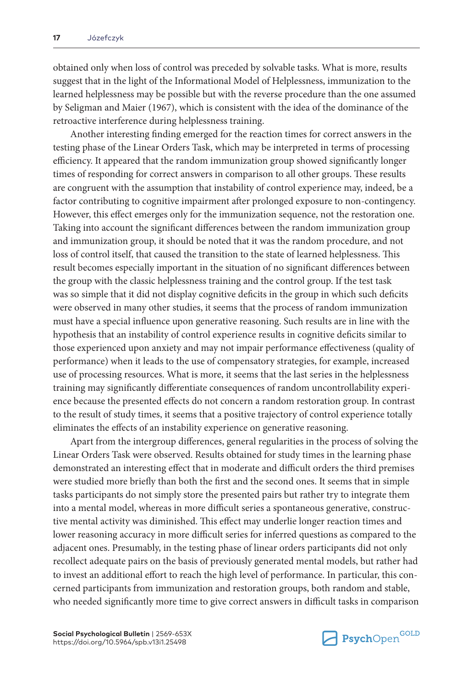obtained only when loss of control was preceded by solvable tasks. What is more, results suggest that in the light of the Informational Model of Helplessness, immunization to the learned helplessness may be possible but with the reverse procedure than the one assumed by Seligman and Maier (1967), which is consistent with the idea of the dominance of the retroactive interference during helplessness training.

Another interesting finding emerged for the reaction times for correct answers in the testing phase of the Linear Orders Task, which may be interpreted in terms of processing efficiency. It appeared that the random immunization group showed significantly longer times of responding for correct answers in comparison to all other groups. These results are congruent with the assumption that instability of control experience may, indeed, be a factor contributing to cognitive impairment after prolonged exposure to non-contingency. However, this effect emerges only for the immunization sequence, not the restoration one. Taking into account the significant differences between the random immunization group and immunization group, it should be noted that it was the random procedure, and not loss of control itself, that caused the transition to the state of learned helplessness. This result becomes especially important in the situation of no significant differences between the group with the classic helplessness training and the control group. If the test task was so simple that it did not display cognitive deficits in the group in which such deficits were observed in many other studies, it seems that the process of random immunization must have a special influence upon generative reasoning. Such results are in line with the hypothesis that an instability of control experience results in cognitive deficits similar to those experienced upon anxiety and may not impair performance effectiveness (quality of performance) when it leads to the use of compensatory strategies, for example, increased use of processing resources. What is more, it seems that the last series in the helplessness training may significantly differentiate consequences of random uncontrollability experience because the presented effects do not concern a random restoration group. In contrast to the result of study times, it seems that a positive trajectory of control experience totally eliminates the effects of an instability experience on generative reasoning.

Apart from the intergroup differences, general regularities in the process of solving the Linear Orders Task were observed. Results obtained for study times in the learning phase demonstrated an interesting effect that in moderate and difficult orders the third premises were studied more briefly than both the first and the second ones. It seems that in simple tasks participants do not simply store the presented pairs but rather try to integrate them into a mental model, whereas in more difficult series a spontaneous generative, constructive mental activity was diminished. This effect may underlie longer reaction times and lower reasoning accuracy in more difficult series for inferred questions as compared to the adjacent ones. Presumably, in the testing phase of linear orders participants did not only recollect adequate pairs on the basis of previously generated mental models, but rather had to invest an additional effort to reach the high level of performance. In particular, this concerned participants from immunization and restoration groups, both random and stable, who needed significantly more time to give correct answers in difficult tasks in comparison

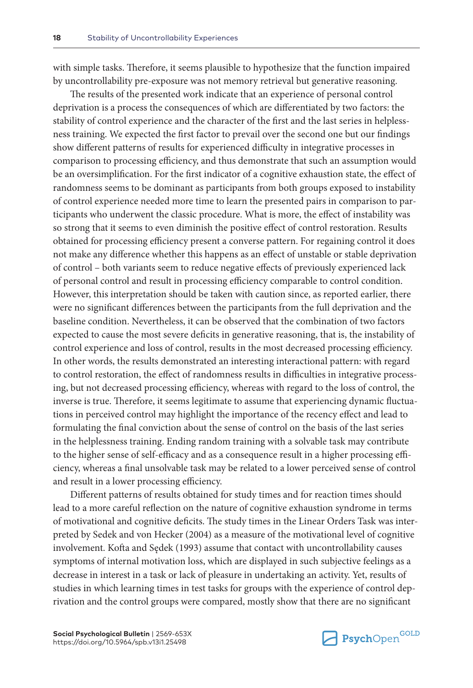with simple tasks. Therefore, it seems plausible to hypothesize that the function impaired by uncontrollability pre-exposure was not memory retrieval but generative reasoning.

The results of the presented work indicate that an experience of personal control deprivation is a process the consequences of which are differentiated by two factors: the stability of control experience and the character of the first and the last series in helplessness training. We expected the first factor to prevail over the second one but our findings show different patterns of results for experienced difficulty in integrative processes in comparison to processing efficiency, and thus demonstrate that such an assumption would be an oversimplification. For the first indicator of a cognitive exhaustion state, the effect of randomness seems to be dominant as participants from both groups exposed to instability of control experience needed more time to learn the presented pairs in comparison to participants who underwent the classic procedure. What is more, the effect of instability was so strong that it seems to even diminish the positive effect of control restoration. Results obtained for processing efficiency present a converse pattern. For regaining control it does not make any difference whether this happens as an effect of unstable or stable deprivation of control – both variants seem to reduce negative effects of previously experienced lack of personal control and result in processing efficiency comparable to control condition. However, this interpretation should be taken with caution since, as reported earlier, there were no significant differences between the participants from the full deprivation and the baseline condition. Nevertheless, it can be observed that the combination of two factors expected to cause the most severe deficits in generative reasoning, that is, the instability of control experience and loss of control, results in the most decreased processing efficiency. In other words, the results demonstrated an interesting interactional pattern: with regard to control restoration, the effect of randomness results in difficulties in integrative processing, but not decreased processing efficiency, whereas with regard to the loss of control, the inverse is true. Therefore, it seems legitimate to assume that experiencing dynamic fluctuations in perceived control may highlight the importance of the recency effect and lead to formulating the final conviction about the sense of control on the basis of the last series in the helplessness training. Ending random training with a solvable task may contribute to the higher sense of self-efficacy and as a consequence result in a higher processing efficiency, whereas a final unsolvable task may be related to a lower perceived sense of control and result in a lower processing efficiency.

Different patterns of results obtained for study times and for reaction times should lead to a more careful reflection on the nature of cognitive exhaustion syndrome in terms of motivational and cognitive deficits. The study times in the Linear Orders Task was interpreted by Sedek and von Hecker (2004) as a measure of the motivational level of cognitive involvement. Kofta and Sędek (1993) assume that contact with uncontrollability causes symptoms of internal motivation loss, which are displayed in such subjective feelings as a decrease in interest in a task or lack of pleasure in undertaking an activity. Yet, results of studies in which learning times in test tasks for groups with the experience of control deprivation and the control groups were compared, mostly show that there are no significant

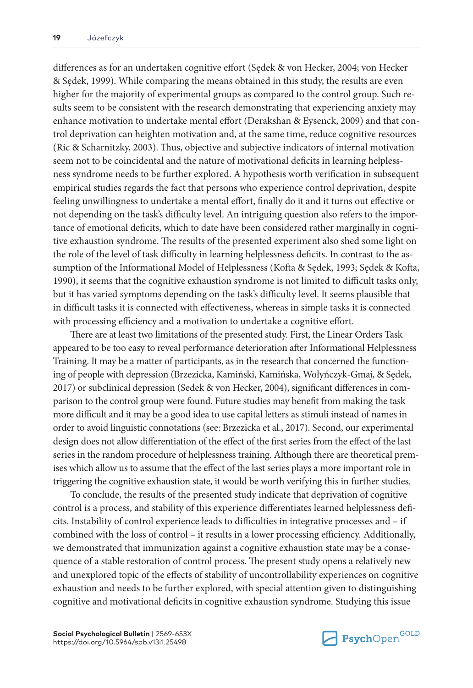differences as for an undertaken cognitive effort (Sędek & von Hecker, 2004; von Hecker & Sędek, 1999). While comparing the means obtained in this study, the results are even higher for the majority of experimental groups as compared to the control group. Such results seem to be consistent with the research demonstrating that experiencing anxiety may enhance motivation to undertake mental effort (Derakshan & Eysenck, 2009) and that control deprivation can heighten motivation and, at the same time, reduce cognitive resources (Ric & Scharnitzky, 2003). Thus, objective and subjective indicators of internal motivation seem not to be coincidental and the nature of motivational deficits in learning helplessness syndrome needs to be further explored. A hypothesis worth verification in subsequent empirical studies regards the fact that persons who experience control deprivation, despite feeling unwillingness to undertake a mental effort, finally do it and it turns out effective or not depending on the task's difficulty level. An intriguing question also refers to the importance of emotional deficits, which to date have been considered rather marginally in cognitive exhaustion syndrome. The results of the presented experiment also shed some light on the role of the level of task difficulty in learning helplessness deficits. In contrast to the assumption of the Informational Model of Helplessness (Kofta & Sędek, 1993; Sędek & Kofta, 1990), it seems that the cognitive exhaustion syndrome is not limited to difficult tasks only, but it has varied symptoms depending on the task's difficulty level. It seems plausible that in difficult tasks it is connected with effectiveness, whereas in simple tasks it is connected with processing efficiency and a motivation to undertake a cognitive effort.

There are at least two limitations of the presented study. First, the Linear Orders Task appeared to be too easy to reveal performance deterioration after Informational Helplessness Training. It may be a matter of participants, as in the research that concerned the functioning of people with depression (Brzezicka, Kamiński, Kamińska, Wołyńczyk-Gmaj, & Sędek, 2017) or subclinical depression (Sedek & von Hecker, 2004), significant differences in comparison to the control group were found. Future studies may benefit from making the task more difficult and it may be a good idea to use capital letters as stimuli instead of names in order to avoid linguistic connotations (see: Brzezicka et al., 2017). Second, our experimental design does not allow differentiation of the effect of the first series from the effect of the last series in the random procedure of helplessness training. Although there are theoretical premises which allow us to assume that the effect of the last series plays a more important role in triggering the cognitive exhaustion state, it would be worth verifying this in further studies.

To conclude, the results of the presented study indicate that deprivation of cognitive control is a process, and stability of this experience differentiates learned helplessness deficits. Instability of control experience leads to difficulties in integrative processes and – if combined with the loss of control – it results in a lower processing efficiency. Additionally, we demonstrated that immunization against a cognitive exhaustion state may be a consequence of a stable restoration of control process. The present study opens a relatively new and unexplored topic of the effects of stability of uncontrollability experiences on cognitive exhaustion and needs to be further explored, with special attention given to distinguishing cognitive and motivational deficits in cognitive exhaustion syndrome. Studying this issue

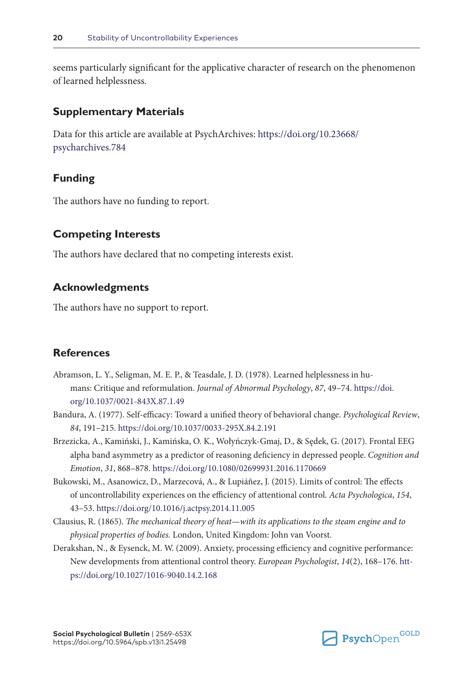seems particularly significant for the applicative character of research on the phenomenon of learned helplessness.

### **Supplementary Materials**

Data for this article are available at PsychArchives: [https://doi.org/10.23668/](https://doi.org/10.23668/psycharchives.784) [psycharchives.784](https://doi.org/10.23668/psycharchives.784)

## **Funding**

The authors have no funding to report.

### **Competing Interests**

The authors have declared that no competing interests exist.

### **Acknowledgments**

The authors have no support to report.

# **References**

- Abramson, L. Y., Seligman, M. E. P., & Teasdale, J. D. (1978). Learned helplessness in humans: Critique and reformulation. *Journal of Abnormal Psychology*, *87*, 49–74. [https://doi.](https://doi.org/10.1037/0021-843X.87.1.49) [org/10.1037/0021-843X.87.1.49](https://doi.org/10.1037/0021-843X.87.1.49)
- Bandura, A. (1977). Self-efficacy: Toward a unified theory of behavioral change. *Psychological Review*, *84*, 191–215. <https://doi.org/10.1037/0033-295X.84.2.191>
- Brzezicka, A., Kamiński, J., Kamińska, O. K., Wołyńczyk-Gmaj, D., & Sędek, G. (2017). Frontal EEG alpha band asymmetry as a predictor of reasoning deficiency in depressed people. *Cognition and Emotion*, *31*, 868–878. <https://doi.org/10.1080/02699931.2016.1170669>
- Bukowski, M., Asanowicz, D., Marzecová, A., & Lupiáñez, J. (2015). Limits of control: The effects of uncontrollability experiences on the efficiency of attentional control. *Acta Psychologica*, *154*, 43–53. <https://doi.org/10.1016/j.actpsy.2014.11.005>
- Clausius, R. (1865). *The mechanical theory of heat—with its applications to the steam engine and to physical properties of bodies.* London, United Kingdom: John van Voorst.
- Derakshan, N., & Eysenck, M. W. (2009). Anxiety, processing efficiency and cognitive performance: New developments from attentional control theory. *European Psychologist*, *14*(2), 168–176. [htt](https://doi.org/10.1027/1016-9040.14.2.168)[ps://doi.org/10.1027/1016-9040.14.2.168](https://doi.org/10.1027/1016-9040.14.2.168)

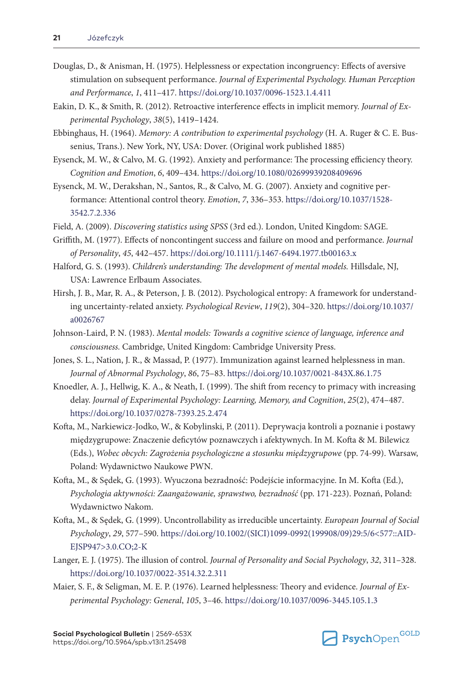- Douglas, D., & Anisman, H. (1975). Helplessness or expectation incongruency: Effects of aversive stimulation on subsequent performance. *Journal of Experimental Psychology. Human Perception and Performance*, *1*, 411–417. <https://doi.org/10.1037/0096-1523.1.4.411>
- Eakin, D. K., & Smith, R. (2012). Retroactive interference effects in implicit memory. *Journal of Experimental Psychology*, *38*(5), 1419–1424.
- Ebbinghaus, H. (1964). *Memory: A contribution to experimental psychology* (H. A. Ruger & C. E. Bussenius, Trans.). New York, NY, USA: Dover. (Original work published 1885)
- Eysenck, M. W., & Calvo, M. G. (1992). Anxiety and performance: The processing efficiency theory. *Cognition and Emotion*, *6*, 409–434.<https://doi.org/10.1080/02699939208409696>
- Eysenck, M. W., Derakshan, N., Santos, R., & Calvo, M. G. (2007). Anxiety and cognitive performance: Attentional control theory. *Emotion*, *7*, 336–353. [https://doi.org/10.1037/1528-](https://doi.org/10.1037/1528-3542.7.2.336) [3542.7.2.336](https://doi.org/10.1037/1528-3542.7.2.336)
- Field, A. (2009). *Discovering statistics using SPSS* (3rd ed.). London, United Kingdom: SAGE.
- Griffith, M. (1977). Effects of noncontingent success and failure on mood and performance. *Journal of Personality*, *45*, 442–457. <https://doi.org/10.1111/j.1467-6494.1977.tb00163.x>
- Halford, G. S. (1993). *Children's understanding: The development of mental models.* Hillsdale, NJ, USA: Lawrence Erlbaum Associates.
- Hirsh, J. B., Mar, R. A., & Peterson, J. B. (2012). Psychological entropy: A framework for understanding uncertainty-related anxiety. *Psychological Review*, *119*(2), 304–320. [https://doi.org/10.1037/](https://doi.org/10.1037/a0026767) [a0026767](https://doi.org/10.1037/a0026767)
- Johnson-Laird, P. N. (1983). *Mental models: Towards a cognitive science of language, inference and consciousness.* Cambridge, United Kingdom: Cambridge University Press.
- Jones, S. L., Nation, J. R., & Massad, P. (1977). Immunization against learned helplessness in man. *Journal of Abnormal Psychology*, *86*, 75–83. <https://doi.org/10.1037/0021-843X.86.1.75>
- Knoedler, A. J., Hellwig, K. A., & Neath, I. (1999). The shift from recency to primacy with increasing delay. *Journal of Experimental Psychology: Learning, Memory, and Cognition*, *25*(2), 474–487. <https://doi.org/10.1037/0278-7393.25.2.474>
- Kofta, M., Narkiewicz-Jodko, W., & Kobylinski, P. (2011). Deprywacja kontroli a poznanie i postawy międzygrupowe: Znaczenie deficytów poznawczych i afektywnych. In M. Kofta & M. Bilewicz (Eds.), *Wobec obcych: Zagrożenia psychologiczne a stosunku międzygrupowe* (pp. 74-99). Warsaw, Poland: Wydawnictwo Naukowe PWN.
- Kofta, M., & Sędek, G. (1993). Wyuczona bezradność: Podejście informacyjne. In M. Kofta (Ed.), *Psychologia aktywności: Zaangażowanie, sprawstwo, bezradność* (pp. 171-223). Poznań, Poland: Wydawnictwo Nakom.
- Kofta, M., & Sędek, G. (1999). Uncontrollability as irreducible uncertainty. *European Journal of Social Psychology*, *29*, 577–590. [https://doi.org/10.1002/\(SICI\)1099-0992\(199908/09\)29:5/6<577::AID-](https://doi.org/10.1002/(SICI)1099-0992(199908/09)29:5/6%3C577::AID-EJSP947%3E3.0.CO;2-K)[EJSP947>3.0.CO;2-K](https://doi.org/10.1002/(SICI)1099-0992(199908/09)29:5/6%3C577::AID-EJSP947%3E3.0.CO;2-K)
- Langer, E. J. (1975). The illusion of control. *Journal of Personality and Social Psychology*, *32*, 311–328. <https://doi.org/10.1037/0022-3514.32.2.311>
- Maier, S. F., & Seligman, M. E. P. (1976). Learned helplessness: Theory and evidence. *Journal of Experimental Psychology: General*, *105*, 3–46. <https://doi.org/10.1037/0096-3445.105.1.3>

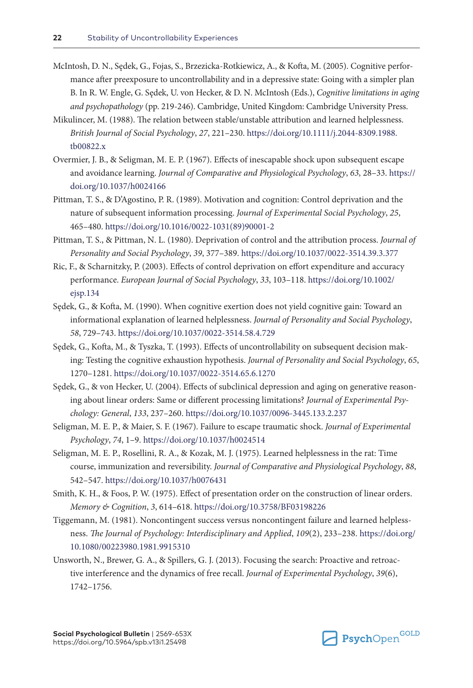- McIntosh, D. N., Sędek, G., Fojas, S., Brzezicka-Rotkiewicz, A., & Kofta, M. (2005). Cognitive performance after preexposure to uncontrollability and in a depressive state: Going with a simpler plan B. In R. W. Engle, G. Sędek, U. von Hecker, & D. N. McIntosh (Eds.), *Cognitive limitations in aging and psychopathology* (pp. 219-246). Cambridge, United Kingdom: Cambridge University Press.
- Mikulincer, M. (1988). The relation between stable/unstable attribution and learned helplessness. *British Journal of Social Psychology*, *27*, 221–230. [https://doi.org/10.1111/j.2044-8309.1988.](https://doi.org/10.1111/j.2044-8309.1988.tb00822.x) [tb00822.x](https://doi.org/10.1111/j.2044-8309.1988.tb00822.x)
- Overmier, J. B., & Seligman, M. E. P. (1967). Effects of inescapable shock upon subsequent escape and avoidance learning. *Journal of Comparative and Physiological Psychology*, *63*, 28–33. [https://](https://doi.org/10.1037/h0024166) [doi.org/10.1037/h0024166](https://doi.org/10.1037/h0024166)
- Pittman, T. S., & D'Agostino, P. R. (1989). Motivation and cognition: Control deprivation and the nature of subsequent information processing. *Journal of Experimental Social Psychology*, *25*, 465–480. [https://doi.org/10.1016/0022-1031\(89\)90001-2](https://doi.org/10.1016/0022-1031(89)90001-2)
- Pittman, T. S., & Pittman, N. L. (1980). Deprivation of control and the attribution process. *Journal of Personality and Social Psychology*, *39*, 377–389. <https://doi.org/10.1037/0022-3514.39.3.377>
- Ric, F., & Scharnitzky, P. (2003). Effects of control deprivation on effort expenditure and accuracy performance. *European Journal of Social Psychology*, *33*, 103–118. [https://doi.org/10.1002/](https://doi.org/10.1002/ejsp.134) [ejsp.134](https://doi.org/10.1002/ejsp.134)
- Sędek, G., & Kofta, M. (1990). When cognitive exertion does not yield cognitive gain: Toward an informational explanation of learned helplessness. *Journal of Personality and Social Psychology*, *58*, 729–743. <https://doi.org/10.1037/0022-3514.58.4.729>
- Sędek, G., Kofta, M., & Tyszka, T. (1993). Effects of uncontrollability on subsequent decision making: Testing the cognitive exhaustion hypothesis. *Journal of Personality and Social Psychology*, *65*, 1270–1281. <https://doi.org/10.1037/0022-3514.65.6.1270>
- Sędek, G., & von Hecker, U. (2004). Effects of subclinical depression and aging on generative reasoning about linear orders: Same or different processing limitations? *Journal of Experimental Psychology: General*, *133*, 237–260. <https://doi.org/10.1037/0096-3445.133.2.237>
- Seligman, M. E. P., & Maier, S. F. (1967). Failure to escape traumatic shock. *Journal of Experimental Psychology*, *74*, 1–9. <https://doi.org/10.1037/h0024514>
- Seligman, M. E. P., Rosellini, R. A., & Kozak, M. J. (1975). Learned helplessness in the rat: Time course, immunization and reversibility. *Journal of Comparative and Physiological Psychology*, *88*, 542–547.<https://doi.org/10.1037/h0076431>
- Smith, K. H., & Foos, P. W. (1975). Effect of presentation order on the construction of linear orders. *Memory & Cognition*, *3*, 614–618.<https://doi.org/10.3758/BF03198226>
- Tiggemann, M. (1981). Noncontingent success versus noncontingent failure and learned helplessness. *The Journal of Psychology: Interdisciplinary and Applied*, *109*(2), 233–238. [https://doi.org/](https://doi.org/10.1080/00223980.1981.9915310) [10.1080/00223980.1981.9915310](https://doi.org/10.1080/00223980.1981.9915310)
- Unsworth, N., Brewer, G. A., & Spillers, G. J. (2013). Focusing the search: Proactive and retroactive interference and the dynamics of free recall. *Journal of Experimental Psychology*, *39*(6), 1742–1756.